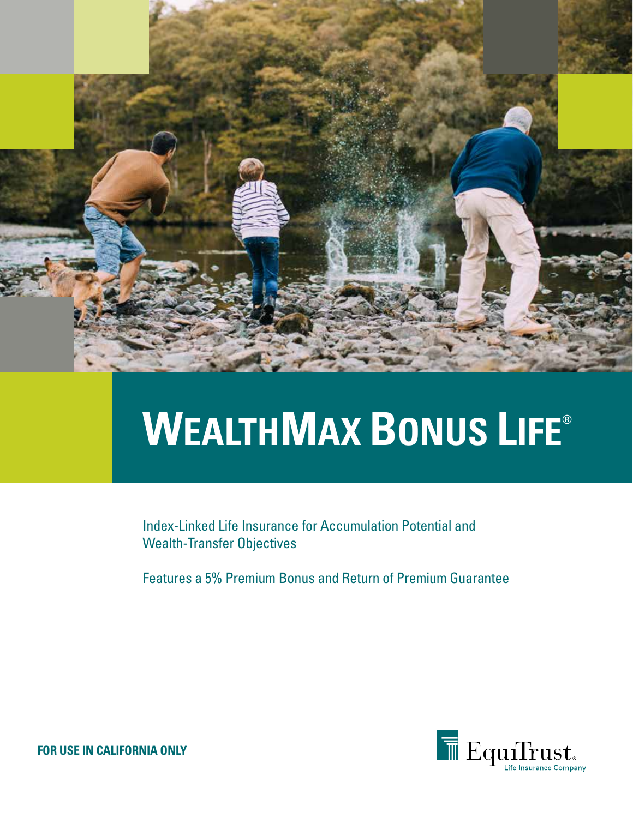

# **WEALTHMAX BONUS LIFE**®

Index-Linked Life Insurance for Accumulation Potential and Wealth-Transfer Objectives

Features a 5% Premium Bonus and Return of Premium Guarantee



**FOR USE IN CALIFORNIA ONLY**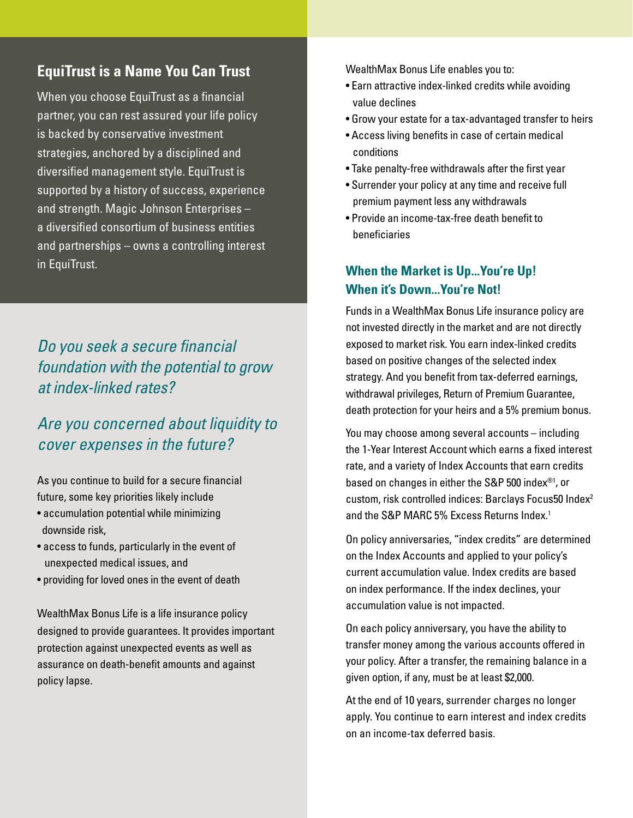#### **EquiTrust is a Name You Can Trust**

When you choose EquiTrust as a financial partner, you can rest assured your life policy is backed by conservative investment strategies, anchored by a disciplined and diversified management style. EquiTrust is supported by a history of success, experience and strength. Magic Johnson Enterprises – a diversified consortium of business entities and partnerships – owns a controlling interest in EquiTrust.

## *Do you seek a secure financial foundation with the potential to grow at index-linked rates?*

## *Are you concerned about liquidity to cover expenses in the future?*

As you continue to build for a secure financial future, some key priorities likely include

- accumulation potential while minimizing downside risk,
- access to funds, particularly in the event of unexpected medical issues, and
- providing for loved ones in the event of death

WealthMax Bonus Life is a life insurance policy designed to provide guarantees. It provides important protection against unexpected events as well as assurance on death-benefit amounts and against policy lapse.

WealthMax Bonus Life enables you to:

- Earn attractive index-linked credits while avoiding value declines
- Grow your estate for a tax-advantaged transfer to heirs
- Access living benefits in case of certain medical conditions
- Take penalty-free withdrawals after the first year
- Surrender your policy at any time and receive full premium payment less any withdrawals
- Provide an income-tax-free death benefit to beneficiaries

#### **When the Market is Up...You're Up! When it's Down...You're Not!**

Funds in a WealthMax Bonus Life insurance policy are not invested directly in the market and are not directly exposed to market risk. You earn index-linked credits based on positive changes of the selected index strategy. And you benefit from tax-deferred earnings, withdrawal privileges, Return of Premium Guarantee, death protection for your heirs and a 5% premium bonus.

You may choose among several accounts – including the 1-Year Interest Account which earns a fixed interest rate, and a variety of Index Accounts that earn credits based on changes in either the S&P 500 index®1, or custom, risk controlled indices: Barclays Focus50 Index2 and the S&P MARC 5% Excess Returns Index.<sup>1</sup>

On policy anniversaries, "index credits" are determined on the Index Accounts and applied to your policy's current accumulation value. Index credits are based on index performance. If the index declines, your accumulation value is not impacted.

On each policy anniversary, you have the ability to transfer money among the various accounts offered in your policy. After a transfer, the remaining balance in a given option, if any, must be at least \$2,000.

At the end of 10 years, surrender charges no longer apply. You continue to earn interest and index credits on an income-tax deferred basis.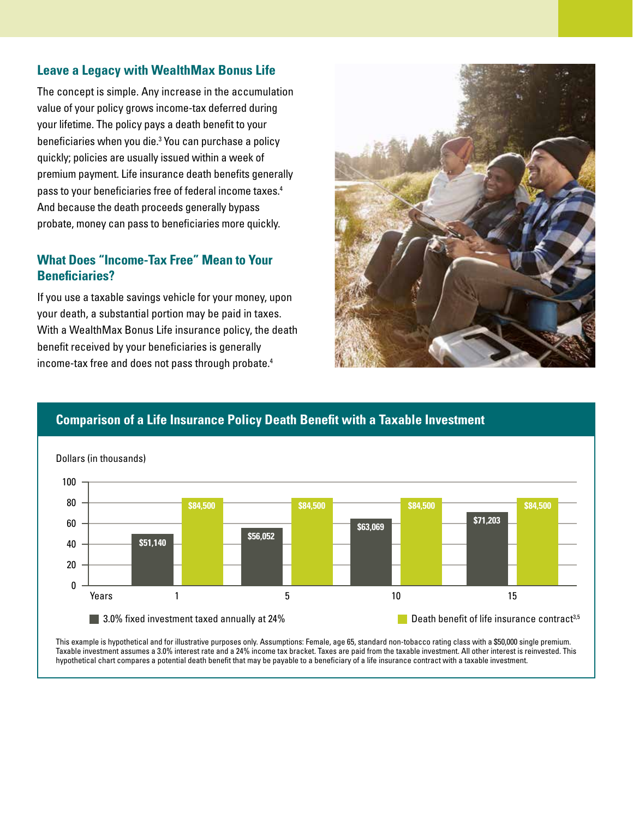#### **Leave a Legacy with WealthMax Bonus Life**

The concept is simple. Any increase in the accumulation value of your policy grows income-tax deferred during your lifetime. The policy pays a death benefit to your beneficiaries when you die.3 You can purchase a policy quickly; policies are usually issued within a week of premium payment. Life insurance death benefits generally pass to your beneficiaries free of federal income taxes.4 And because the death proceeds generally bypass probate, money can pass to beneficiaries more quickly.

#### **What Does "Income-Tax Free" Mean to Your Beneficiaries?**

If you use a taxable savings vehicle for your money, upon your death, a substantial portion may be paid in taxes. With a WealthMax Bonus Life insurance policy, the death benefit received by your beneficiaries is generally income-tax free and does not pass through probate.4



### **Comparison of a Life Insurance Policy Death Benefit with a Taxable Investment**



This example is hypothetical and for illustrative purposes only. Assumptions: Female, age 65, standard non-tobacco rating class with a \$50,000 single premium. Taxable investment assumes a 3.0% interest rate and a 24% income tax bracket. Taxes are paid from the taxable investment. All other interest is reinvested. This hypothetical chart compares a potential death benefit that may be payable to a beneficiary of a life insurance contract with a taxable investment.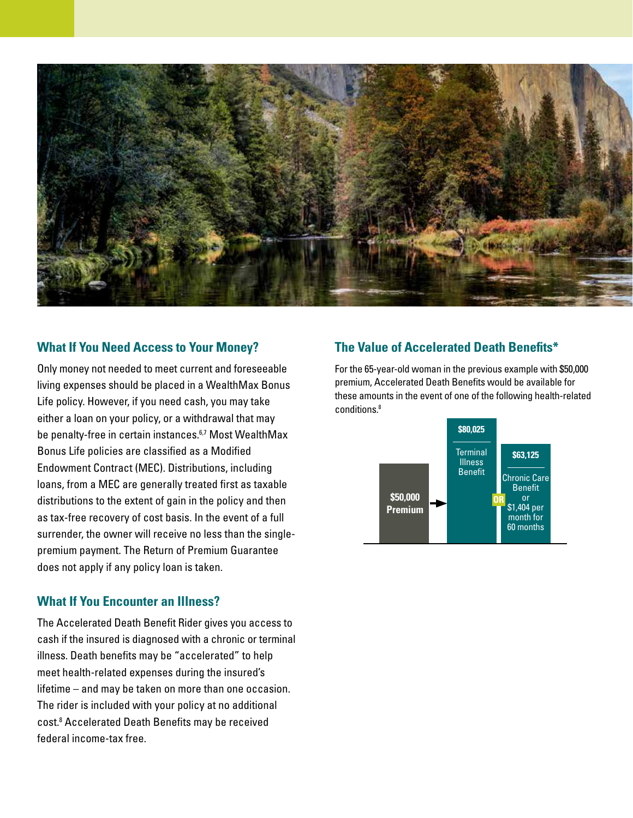

#### **What If You Need Access to Your Money?**

Only money not needed to meet current and foreseeable living expenses should be placed in a WealthMax Bonus Life policy. However, if you need cash, you may take either a loan on your policy, or a withdrawal that may be penalty-free in certain instances.<sup>6,7</sup> Most WealthMax Bonus Life policies are classified as a Modified Endowment Contract (MEC). Distributions, including loans, from a MEC are generally treated first as taxable distributions to the extent of gain in the policy and then as tax-free recovery of cost basis. In the event of a full surrender, the owner will receive no less than the singlepremium payment. The Return of Premium Guarantee does not apply if any policy loan is taken.

#### **What If You Encounter an Illness?**

The Accelerated Death Benefit Rider gives you access to cash if the insured is diagnosed with a chronic or terminal illness. Death benefits may be "accelerated" to help meet health-related expenses during the insured's lifetime – and may be taken on more than one occasion. The rider is included with your policy at no additional cost.8 Accelerated Death Benefits may be received federal income-tax free.

#### **The Value of Accelerated Death Benefits\***

For the 65-year-old woman in the previous example with \$50,000 premium, Accelerated Death Benefits would be available for these amounts in the event of one of the following health-related conditions.8

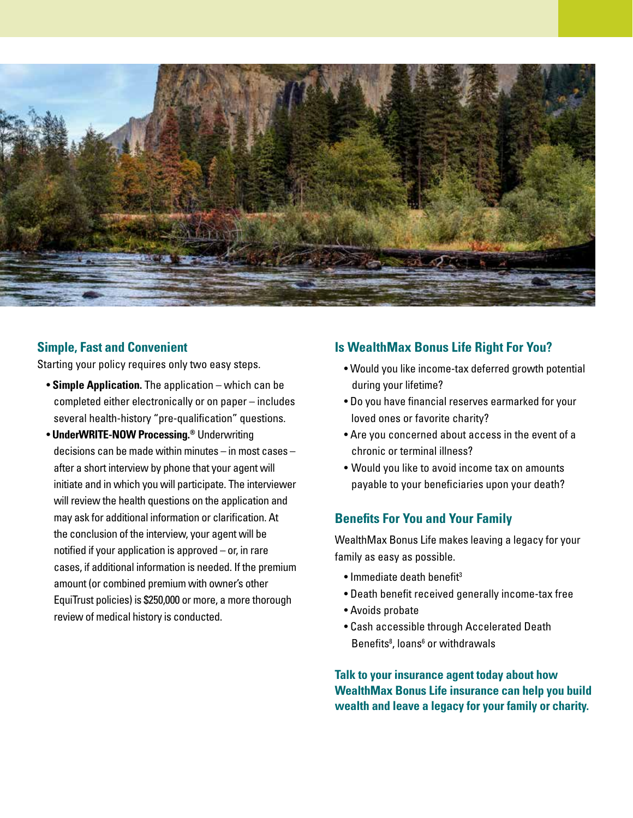

#### **Simple, Fast and Convenient**

Starting your policy requires only two easy steps.

- **Simple Application.** The application which can be completed either electronically or on paper – includes several health-history "pre-qualification" questions.
- **UnderWRITE-NOW Processing.®** Underwriting decisions can be made within minutes – in most cases – after a short interview by phone that your agent will initiate and in which you will participate. The interviewer will review the health questions on the application and may ask for additional information or clarification. At the conclusion of the interview, your agent will be notified if your application is approved – or, in rare cases, if additional information is needed. If the premium amount (or combined premium with owner's other EquiTrust policies) is \$250,000 or more, a more thorough review of medical history is conducted.

#### **Is WealthMax Bonus Life Right For You?**

- Would you like income-tax deferred growth potential during your lifetime?
- Do you have financial reserves earmarked for your loved ones or favorite charity?
- Are you concerned about access in the event of a chronic or terminal illness?
- Would you like to avoid income tax on amounts payable to your beneficiaries upon your death?

#### **Benefits For You and Your Family**

WealthMax Bonus Life makes leaving a legacy for your family as easy as possible.

- $\bullet$  Immediate death benefit<sup>3</sup>
- Death benefit received generally income-tax free
- Avoids probate
- Cash accessible through Accelerated Death Benefits<sup>8</sup>, loans<sup>6</sup> or withdrawals

**Talk to your insurance agent today about how WealthMax Bonus Life insurance can help you build wealth and leave a legacy for your family or charity.**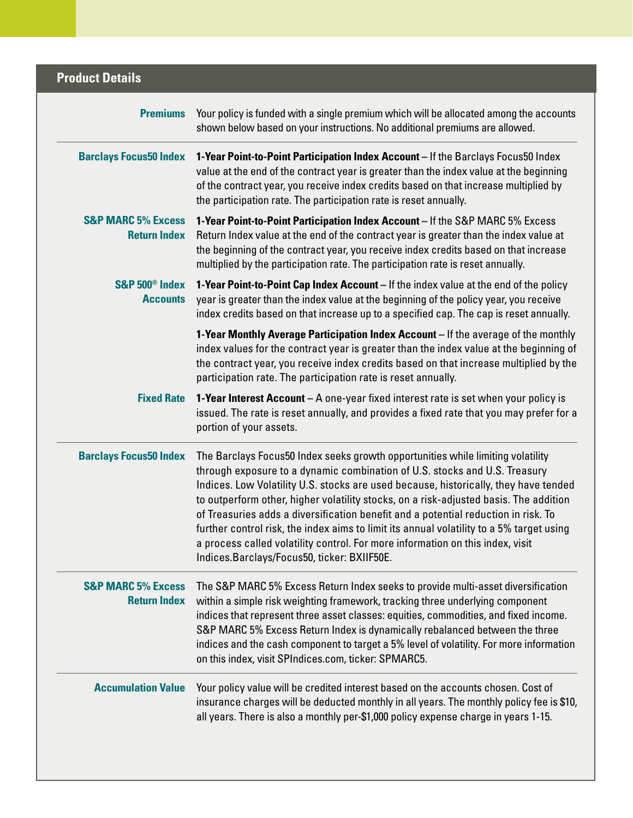## **Product Details**

| <b>Premiums</b>                                      | Your policy is funded with a single premium which will be allocated among the accounts<br>shown below based on your instructions. No additional premiums are allowed.<br>1-Year Point-to-Point Participation Index Account - If the Barclays Focus50 Index<br>value at the end of the contract year is greater than the index value at the beginning<br>of the contract year, you receive index credits based on that increase multiplied by<br>the participation rate. The participation rate is reset annually.                                                                                                                                                 |  |  |  |
|------------------------------------------------------|-------------------------------------------------------------------------------------------------------------------------------------------------------------------------------------------------------------------------------------------------------------------------------------------------------------------------------------------------------------------------------------------------------------------------------------------------------------------------------------------------------------------------------------------------------------------------------------------------------------------------------------------------------------------|--|--|--|
| <b>Barclays Focus50 Index</b>                        |                                                                                                                                                                                                                                                                                                                                                                                                                                                                                                                                                                                                                                                                   |  |  |  |
| <b>S&amp;P MARC 5% Excess</b><br><b>Return Index</b> | 1-Year Point-to-Point Participation Index Account - If the S&P MARC 5% Excess<br>Return Index value at the end of the contract year is greater than the index value at<br>the beginning of the contract year, you receive index credits based on that increase<br>multiplied by the participation rate. The participation rate is reset annually.                                                                                                                                                                                                                                                                                                                 |  |  |  |
| S&P 500 <sup>®</sup> Index<br><b>Accounts</b>        | 1-Year Point-to-Point Cap Index Account - If the index value at the end of the policy<br>year is greater than the index value at the beginning of the policy year, you receive<br>index credits based on that increase up to a specified cap. The cap is reset annually.                                                                                                                                                                                                                                                                                                                                                                                          |  |  |  |
|                                                      | 1-Year Monthly Average Participation Index Account - If the average of the monthly<br>index values for the contract year is greater than the index value at the beginning of<br>the contract year, you receive index credits based on that increase multiplied by the<br>participation rate. The participation rate is reset annually.                                                                                                                                                                                                                                                                                                                            |  |  |  |
| <b>Fixed Rate</b>                                    | 1-Year Interest Account - A one-year fixed interest rate is set when your policy is<br>issued. The rate is reset annually, and provides a fixed rate that you may prefer for a<br>portion of your assets.                                                                                                                                                                                                                                                                                                                                                                                                                                                         |  |  |  |
| <b>Barclays Focus50 Index</b>                        | The Barclays Focus50 Index seeks growth opportunities while limiting volatility<br>through exposure to a dynamic combination of U.S. stocks and U.S. Treasury<br>Indices. Low Volatility U.S. stocks are used because, historically, they have tended<br>to outperform other, higher volatility stocks, on a risk-adjusted basis. The addition<br>of Treasuries adds a diversification benefit and a potential reduction in risk. To<br>further control risk, the index aims to limit its annual volatility to a 5% target using<br>a process called volatility control. For more information on this index, visit<br>Indices.Barclays/Focus50, ticker: BXIIF50E. |  |  |  |
| <b>S&amp;P MARC 5% Excess</b><br><b>Return Index</b> | The S&P MARC 5% Excess Return Index seeks to provide multi-asset diversification<br>within a simple risk weighting framework, tracking three underlying component<br>indices that represent three asset classes: equities, commodities, and fixed income.<br>S&P MARC 5% Excess Return Index is dynamically rebalanced between the three<br>indices and the cash component to target a 5% level of volatility. For more information<br>on this index, visit SPIndices.com, ticker: SPMARC5.                                                                                                                                                                       |  |  |  |
| <b>Accumulation Value</b>                            | Your policy value will be credited interest based on the accounts chosen. Cost of<br>insurance charges will be deducted monthly in all years. The monthly policy fee is \$10,<br>all years. There is also a monthly per-\$1,000 policy expense charge in years 1-15.                                                                                                                                                                                                                                                                                                                                                                                              |  |  |  |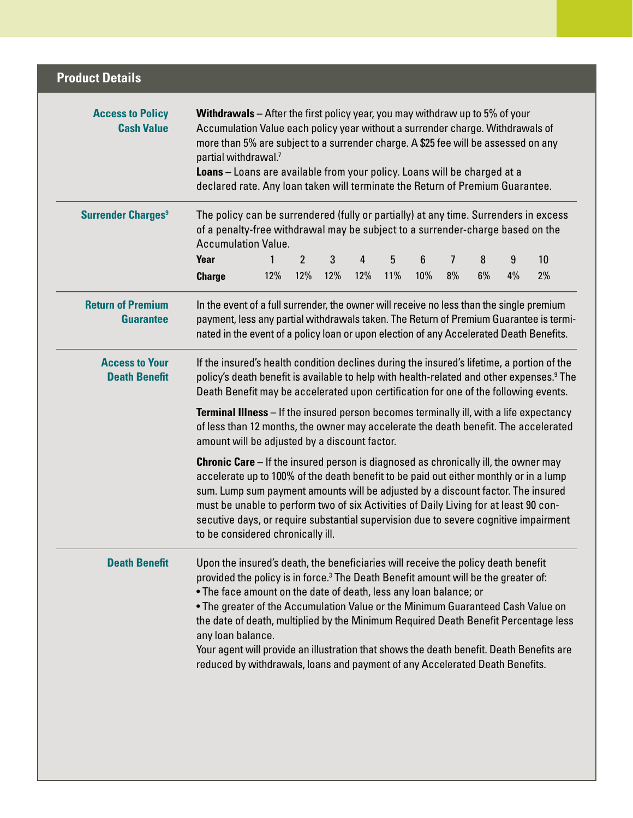| <b>Product Details</b>                        |                                                                                                                                                                                                                                                                                                                                                                                                                                                                                                                                                                                                                                     |          |    |    |  |  |
|-----------------------------------------------|-------------------------------------------------------------------------------------------------------------------------------------------------------------------------------------------------------------------------------------------------------------------------------------------------------------------------------------------------------------------------------------------------------------------------------------------------------------------------------------------------------------------------------------------------------------------------------------------------------------------------------------|----------|----|----|--|--|
| <b>Access to Policy</b><br><b>Cash Value</b>  | <b>Withdrawals</b> – After the first policy year, you may withdraw up to 5% of your<br>Accumulation Value each policy year without a surrender charge. Withdrawals of<br>more than 5% are subject to a surrender charge. A \$25 fee will be assessed on any<br>partial withdrawal.7<br>Loans - Loans are available from your policy. Loans will be charged at a<br>declared rate. Any loan taken will terminate the Return of Premium Guarantee.                                                                                                                                                                                    |          |    |    |  |  |
| <b>Surrender Charges<sup>9</sup></b>          | The policy can be surrendered (fully or partially) at any time. Surrenders in excess<br>of a penalty-free withdrawal may be subject to a surrender-charge based on the<br><b>Accumulation Value.</b>                                                                                                                                                                                                                                                                                                                                                                                                                                |          |    |    |  |  |
|                                               | Year<br>2<br>3<br>5<br>6<br>4                                                                                                                                                                                                                                                                                                                                                                                                                                                                                                                                                                                                       | 7<br>8   | 9  | 10 |  |  |
|                                               | 12%<br>12%<br>12%<br>12%<br>11%<br>10%<br><b>Charge</b>                                                                                                                                                                                                                                                                                                                                                                                                                                                                                                                                                                             | 8%<br>6% | 4% | 2% |  |  |
| <b>Return of Premium</b><br><b>Guarantee</b>  | In the event of a full surrender, the owner will receive no less than the single premium<br>payment, less any partial withdrawals taken. The Return of Premium Guarantee is termi-<br>nated in the event of a policy loan or upon election of any Accelerated Death Benefits.                                                                                                                                                                                                                                                                                                                                                       |          |    |    |  |  |
| <b>Access to Your</b><br><b>Death Benefit</b> | If the insured's health condition declines during the insured's lifetime, a portion of the<br>policy's death benefit is available to help with health-related and other expenses. <sup>9</sup> The<br>Death Benefit may be accelerated upon certification for one of the following events.                                                                                                                                                                                                                                                                                                                                          |          |    |    |  |  |
|                                               | <b>Terminal Illness</b> – If the insured person becomes terminally ill, with a life expectancy<br>of less than 12 months, the owner may accelerate the death benefit. The accelerated<br>amount will be adjusted by a discount factor.                                                                                                                                                                                                                                                                                                                                                                                              |          |    |    |  |  |
|                                               | <b>Chronic Care</b> – If the insured person is diagnosed as chronically ill, the owner may<br>accelerate up to 100% of the death benefit to be paid out either monthly or in a lump<br>sum. Lump sum payment amounts will be adjusted by a discount factor. The insured<br>must be unable to perform two of six Activities of Daily Living for at least 90 con-<br>secutive days, or require substantial supervision due to severe cognitive impairment<br>to be considered chronically ill.                                                                                                                                        |          |    |    |  |  |
| <b>Death Benefit</b>                          | Upon the insured's death, the beneficiaries will receive the policy death benefit<br>provided the policy is in force. <sup>3</sup> The Death Benefit amount will be the greater of:<br>• The face amount on the date of death, less any loan balance; or<br>• The greater of the Accumulation Value or the Minimum Guaranteed Cash Value on<br>the date of death, multiplied by the Minimum Required Death Benefit Percentage less<br>any loan balance.<br>Your agent will provide an illustration that shows the death benefit. Death Benefits are<br>reduced by withdrawals, loans and payment of any Accelerated Death Benefits. |          |    |    |  |  |
|                                               |                                                                                                                                                                                                                                                                                                                                                                                                                                                                                                                                                                                                                                     |          |    |    |  |  |